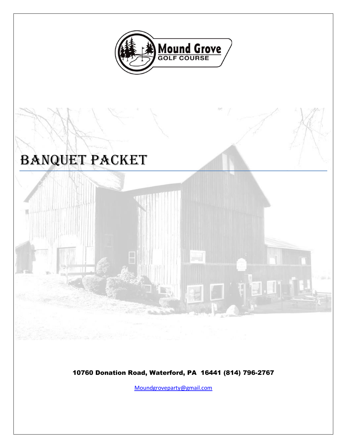

# Banquet Packet



10760 Donation Road, Waterford, PA 16441 (814) 796-2767

[Moundgroveparty@gmail.com](mailto:Moundgroveparty@gmail.com)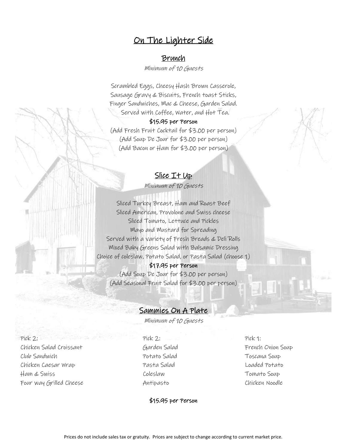### On The Lighter Side

#### Brunch

Minimum of 10 Guests

Scrambled Eggs, Cheesy Hash Brown Casserole, Sausage Gravy & Biscuits, French toast Sticks, Finger Sandwiches, Mac & Cheese, Garden Salad. Served with Coffee, Water, and Hot Tea.

#### \$15.95 per Person

(Add Fresh Fruit Cocktail for \$3.00 per person) (Add Soup De Jour for \$3.00 per person) (Add Bacon or Ham for \$3.00 per person)

### Slice It Up

Minimum of 10 Guests

Sliced Turkey Breast, Ham and Roast Beef Sliced American, Provolone and Swiss cheese Sliced Tomato, Lettuce and Pickles Mayo and Mustard for Spreading Served with a variety of Fresh Breads & Deli Rolls Mixed Baby Greens Salad with Balsamic Dressing Choice of coleslaw, Potato Salad, or Pasta Salad (choose 1)

\$17.95 per Person (Add Soup De Jour for \$3.00 per person) (Add Seasonal Fruit Salad for \$3.00 per person)

### Sammies On A Plate

Minimum of 10 Guests

Pick 2: Pick 2: Pick 1: Chicken Salad Croissant Garden Salad French Onion Soup Club Sandwich Potato Salad Toscana Soup Chicken Caesar Wrap Pasta Salad Loaded Potato Ham & Swiss Coleslaw Tomato Soup Four way Grilled Cheese Antipasto Chicken Noodle

\$15.95 per Person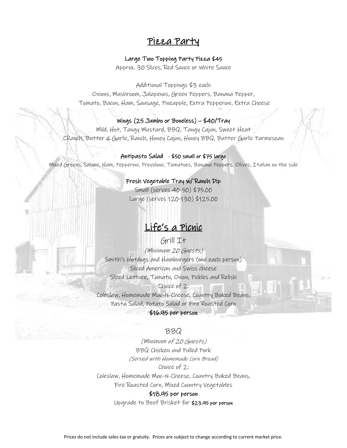### Pizza Party

#### Large Two Topping Party Pizza \$45

Approx. 30 Slices, Red Sauce or White Sauce

Additional Toppings \$3 each

Onions, Mushroom, Jalapenos, Green Peppers, Banana Pepper, Tomato, Bacon, Ham, Sausage, Pineapple, Extra Pepperoni, Extra Cheese

#### Wings (25 Jumbo or Boneless) – \$40/Tray

Mild, Hot, Tangy Mustard, BBQ, Tangy Cajun, Sweet Heat CRanch, Butter & Garlic, Ranch, Honey Cajun, Honey BBQ, Butter Garlic Parmesean

#### Antipasto Salad - \$50 small or \$75 large

Mixed Greens, Salami, Ham, Pepperoni, Provolone, Tomatoes, Banana Peppers, Olives, Italian on the side

#### Fresh Vegetable Tray w/ Ranch Dip

Small (serves 40-50) \$75.00 Large (serves 120-130) \$125.00

# Life's a Picnic

Grill It (Minimum 20 Guests) Smith's Hotdogs and Hamburgers (one each person) Sliced American and Swiss cheese Sliced Lettuce, Tomato, Onion, Pickles and Relish Choice of 2: Coleslaw, Homemade Mac-N-Cheese, Country Baked Beans, Pasta Salad, Potato Salad or Fire Roasted Corn \$16.95 per person

#### BBQ

(Minimum of 20 Guests) BBQ Chicken and Pulled Pork (Served with Homemade Corn Bread) Choice of 2: Coleslaw, Homemade Mac-N-Cheese, Country Baked Beans, Fire Roasted Corn, Mixed Country Vegetables

#### \$18.95 per person

Upgrade to Beef Brisket for \$23.95 per person

Prices do not include sales tax or gratuity. Prices are subject to change according to current market price.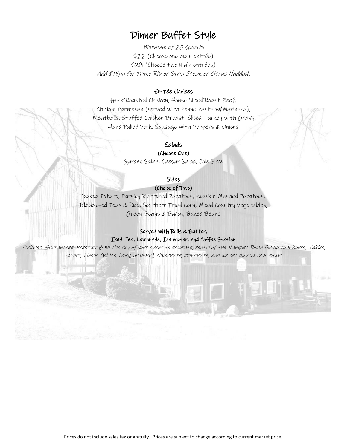# Dinner Buffet Style

Minimum of 20 Guests \$22 (Choose one main entrée) \$28 (Choose two main entrées) Add \$15pp for Prime Rib or Strip Steak or Citrus Haddock

#### Entrée Choices

Herb Roasted Chicken, House Sliced Roast Beef, Chicken Parmesan (served with Penne Pasta w/Marinara), Meatballs, Stuffed Chicken Breast, Sliced Turkey with Gravy, Hand Pulled Pork, Sausage with Peppers & Onions

#### Salads

(Choose One) Garden Salad, Caesar Salad, Cole Slaw

Sides

(Choice of Two)

Baked Potato, Parsley Buttered Potatoes, Redskin Mashed Potatoes, Black-eyed Peas & Rice, Southern Fried Corn, Mixed Country Vegetables, Green Beans & Bacon, Baked Beans

#### Served with Rolls & Butter, Iced Tea, Lemonade, Ice Water, and Coffee Station

Includes: Guaranteed access at 8am the day of your event to decorate, rental of the Banquet Room for up to 5 hours, Tables, Chairs, Linens (white, ivory, or black), silverware, chinaware, and we set up and tear down!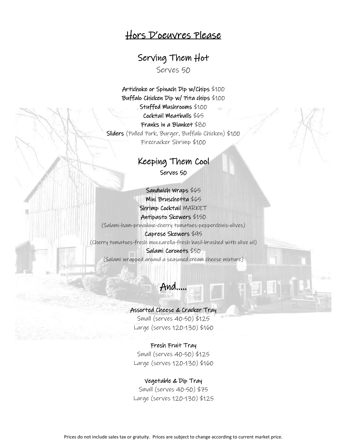## Hors D'oeuvres Please

# Serving Them Hot

Serves 50

Artichoke or Spinach Dip w/Chips \$100 Buffalo Chicken Dip w/ Pita chips \$100 Stuffed Mushrooms \$100 Cocktail Meatballs \$65 Franks in a Blanket \$80 Sliders (Pulled Pork, Burger, Buffalo Chicken) \$100 Firecracker Shrimp \$100

### Keeping Them Cool

Serves 50 l

Sandwich Wraps \$65 Mini Bruschetta \$65 Shrimp Cocktail MARKET Antipasto Skewers \$150 (Salami-ham-provolone-cherry tomatoes-pepperchinis-olives) Caprese Skewers \$95 (Cherry tomatoes-fresh mozzarella-fresh basil-brushed with olive oil) Salami Coronets \$50

(Salami wrapped around a seasoned cream cheese mixture)

And…..

#### Assorted Cheese & Cracker Tray

Small (serves 40-50) \$125 Large (serves 120-130) \$160

#### Fresh Fruit Tray

Small (serves 40-50) \$125 Large (serves 120-130) \$160

#### Vegetable & Dip Tray

Small (serves 40-50) \$75 Large (serves 120-130) \$125

Prices do not include sales tax or gratuity. Prices are subject to change according to current market price.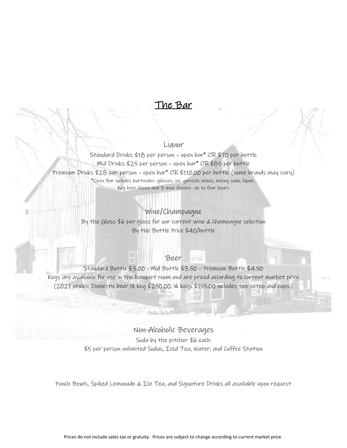

#### Liquor

Standard Drinks \$18 per person – open bar\* OR \$70 per bottle Mid Drinks \$25 per person – open bar\* OR \$85 per bottle Premium Drinks \$28 per person – open bar\* OR \$110.00 per bottle (some brands may vary) \*Open Bar includes bartender, glasses, ice, garnish, mixes, mixing soda, liquor, Keg beer choice and 3 wine choices- up to four hours

### Wine/Champagne

By the Glass \$6 per glass for our current wine & champagne selection By the Bottle Price \$40/bottle

#### Beer

Standard Bottle \$3.00 - Mid Bottle \$3.50 – Premium Bottle \$4.50 Kegs are available for use in the banquet room and are priced according to current market price (2021 prices: Domestic beer ½ keg \$250.00, ¼ kegs \$155.00 includes tap setup and cups.)

> Non-Alcoholic Beverages Soda by the pitcher \$6 each \$5 per person unlimited Sodas, Iced Tea, Water, and Coffee Station

Punch Bowls, Spiked Lemonade & Ice Tea, and Signature Drinks all available upon request